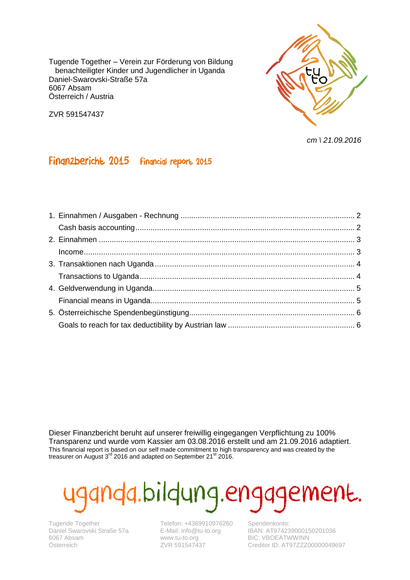Tugende Together – Verein zur Förderung von Bildung benachteiligter Kinder und Jugendlicher in Uganda Daniel-Swarovski-Straße 57a 6067 Absam Österreich / Austria

ZVR 591547437



*cm \ 21.09.2016*

#### Finanzbericht 2015 financial report 2015

Dieser Finanzbericht beruht auf unserer freiwillig eingegangen Verpflichtung zu 100% Transparenz und wurde vom Kassier am 03.08.2016 erstellt und am 21.09.2016 adaptiert. This financial report is based on our self made commitment to high transparency and was created by the treasurer on August  $3^{rd}$  2016 and adapted on September 21 $^{\text{st}}$  2016.

# Ida.bildung.engagement.

Tugende Together Daniel Swarovski Straße 57a 6067 Absam Österreich

Telefon: +4369910976260 E-Mail: info@tu-to.org www.tu-to.org ZVR 591547437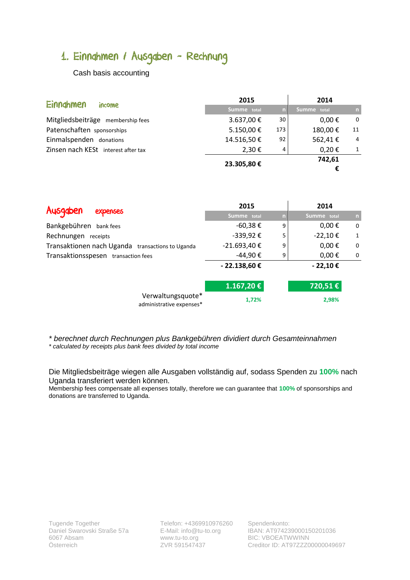# <span id="page-1-1"></span><span id="page-1-0"></span>1. Einnahmen / Ausgaben - Rechnung

Cash basis accounting

| Einnghmen                           | 2015        |     | 2014        |          |
|-------------------------------------|-------------|-----|-------------|----------|
| income                              | Summe total | n.  | Summe total | 'n,      |
| Mitgliedsbeiträge membership fees   | 3.637,00€   | 30  | $0,00 \in$  | $\Omega$ |
| Patenschaften sponsorships          | 5.150,00€   | 173 | 180,00€     | 11       |
| Einmalspenden donations             | 14.516,50€  | 92  | 562,41€     | 4        |
| Zinsen nach KESt interest after tax | 2,30 €      | 4   | $0,20 \in$  |          |
|                                     | 23.305,80€  |     | 742,61      |          |
|                                     |             |     | €           |          |

| Ausgaben                                         | 2015          |   | 2014        |    |
|--------------------------------------------------|---------------|---|-------------|----|
| <b>expenses</b>                                  | Summe total   | n | Summe total | n, |
| Bankgebühren bank fees                           | $-60,38 \in$  | 9 | $0,00 \in$  | 0  |
| Rechnungen receipts                              | -339,92€      | 5 | $-22,10€$   | 1  |
| Transaktionen nach Uganda transactions to Uganda | -21.693,40€   | 9 | $0,00 \in$  | 0  |
| Transaktionsspesen transaction fees              | -44,90€       | 9 | $0,00 \in$  | 0  |
|                                                  | $-22.138,60€$ |   | $-22,10€$   |    |
|                                                  | 1.167,20€     |   | 720,51€     |    |
| Verwaltungsquote*<br>administrative expenses*    | 1,72%         |   | 2,98%       |    |

*\* berechnet durch Rechnungen plus Bankgebühren dividiert durch Gesamteinnahmen \* calculated by receipts plus bank fees divided by total income*

Die Mitgliedsbeiträge wiegen alle Ausgaben vollständig auf, sodass Spenden zu **100%** nach Uganda transferiert werden können.

Membership fees compensate all expenses totally, therefore we can guarantee that **100%** of sponsorships and donations are transferred to Uganda.

Telefon: +4369910976260 Spendenkonto: www.tu-to.org ZVR 591547437

E-Mail: info@tu-to.org IBAN: AT974239000150201036 BIC: VBOEATWWINN Creditor ID: AT97ZZZ00000049697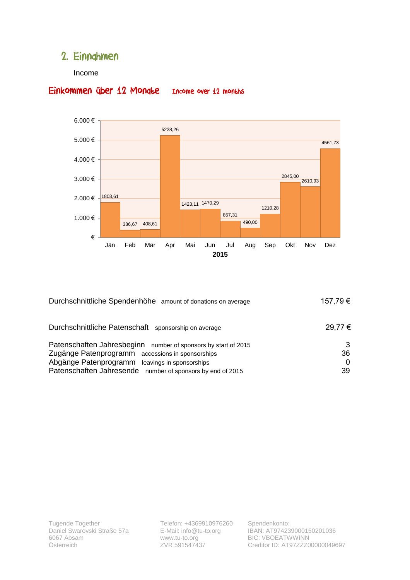#### <span id="page-2-1"></span><span id="page-2-0"></span>2. Einnahmen

#### Income



#### Einkommen über 12 Mondte Income over 12 months

| Durchschnittliche Spendenhöhe amount of donations on average   | 157,79€ |
|----------------------------------------------------------------|---------|
| Durchschnittliche Patenschaft sponsorship on average           | 29,77 € |
| Patenschaften Jahresbeginn number of sponsors by start of 2015 |         |
| Zugänge Patenprogramm accessions in sponsorships               | 36      |
| Abgänge Patenprogramm<br>leavings in sponsorships              | 0       |
| Patenschaften Jahresende number of sponsors by end of 2015     | 39      |
|                                                                |         |

Telefon: +4369910976260 E-Mail: info@tu-to.org www.tu-to.org ZVR 591547437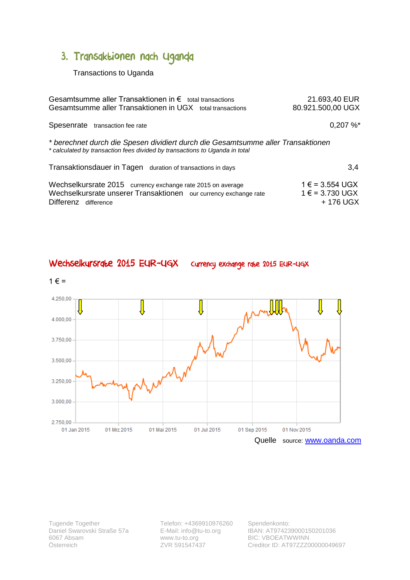## <span id="page-3-1"></span><span id="page-3-0"></span>3. Transaktionen nach Uganda

Transactions to Uganda

| Gesamtsumme aller Transaktionen in $\epsilon$ total transactions<br>Gesamtsumme aller Transaktionen in UGX total transactions                                   | 21.693,40 EUR<br>80.921.500,00 UGX                      |  |  |  |
|-----------------------------------------------------------------------------------------------------------------------------------------------------------------|---------------------------------------------------------|--|--|--|
| Spesenrate transaction fee rate                                                                                                                                 | 0,207%                                                  |  |  |  |
| * berechnet durch die Spesen dividiert durch die Gesamtsumme aller Transaktionen<br>* calculated by transaction fees divided by transactions to Uganda in total |                                                         |  |  |  |
| Transaktionsdauer in Tagen duration of transactions in days                                                                                                     | 3.4                                                     |  |  |  |
| Wechselkursrate 2015 currency exchange rate 2015 on average<br>Wechselkursrate unserer Transaktionen our currency exchange rate<br>Differenz difference         | $1 \in$ = 3.554 UGX<br>$1 \in$ = 3.730 UGX<br>+ 176 UGX |  |  |  |



Wechselkursrate 2015 EUR-UGX currency exchange rate 2015 EUR-UGX

Tugende Together Daniel Swarovski Straße 57a 6067 Absam Österreich

Telefon: +4369910976260 E-Mail: info@tu-to.org www.tu-to.org ZVR 591547437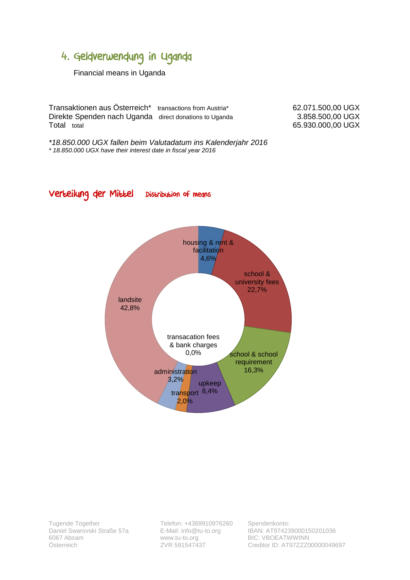### <span id="page-4-1"></span><span id="page-4-0"></span>4. Geldverwendung in Uganda

Financial means in Uganda

Transaktionen aus Österreich\* transactions from Austria\* 62.071.500,00 UGX Direkte Spenden nach Uganda direct donations to Uganda 3.858.500,00 UGX<br>Total total total total

65.930.000,00 UGX

*\*18.850.000 UGX fallen beim Valutadatum ins Kalenderjahr 2016 \* 18.850.000 UGX have their interest date in fiscal year 2016*

Verteilung der Mittel Distribution of means



Tugende Together Daniel Swarovski Straße 57a 6067 Absam Österreich

Telefon: +4369910976260 E-Mail: info@tu-to.org www.tu-to.org ZVR 591547437